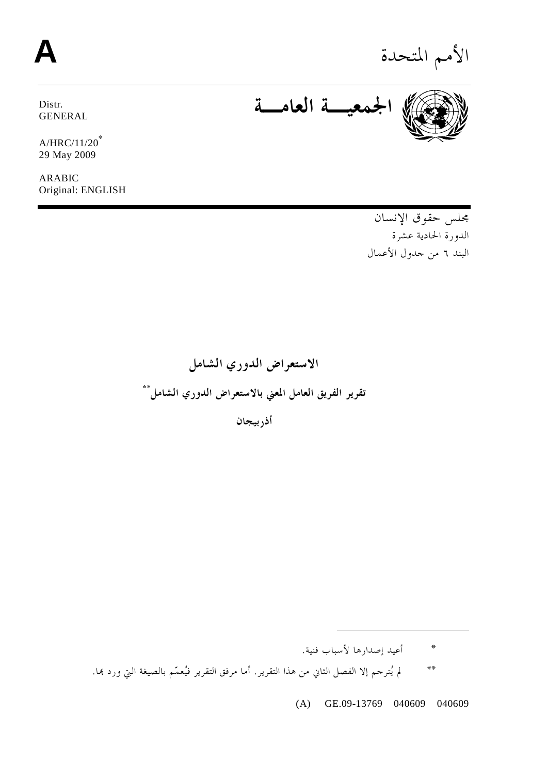# الأمم المتحدة **A**

Distr. GENERAL

A/HRC/11/20<sup>∗</sup> 29 May 2009

ARABIC Original: ENGLISH

**الجمعيـة العامـة**

مجلس حقوق الإنسان الدورة الحادية عشرة البند ٦ من جدول الأعمال

**الاستعراض الدوري الشامل** \***\* تقرير الفريق العامل المعني بالاستعراض الدوري الشامل**

**أذربيجان** 

\* أعيد إصدارها لأسباب فنية.

 $\ddot{\phantom{a}}$ 

\*\*لم يُترجم إلا الفصل الثاني من هذا التقرير. أما مرفق التقرير فيُعمّم بالصيغة التي ورد هبا.

(A) GE.09-13769 040609 040609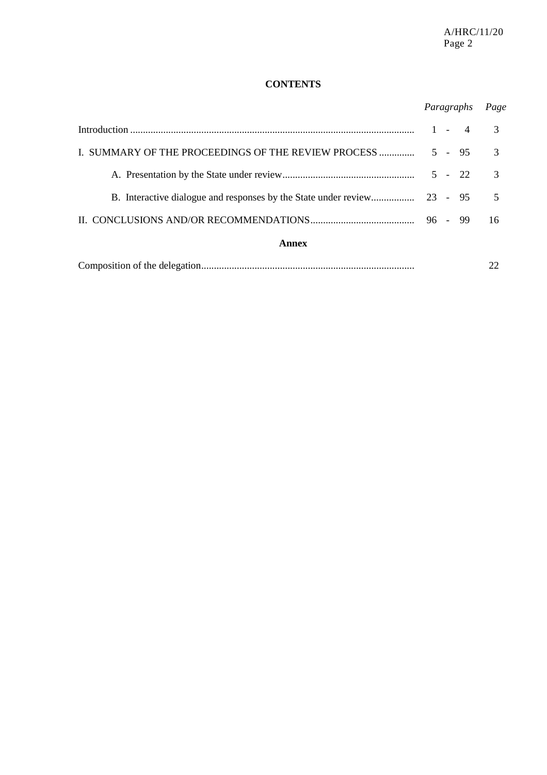## **CONTENTS**

# *Paragraphs Page*

|                                                     |  |  | $1 - 4$  |               |
|-----------------------------------------------------|--|--|----------|---------------|
| I. SUMMARY OF THE PROCEEDINGS OF THE REVIEW PROCESS |  |  | $5 - 95$ | $\mathcal{R}$ |
|                                                     |  |  | $5 - 22$ | $\mathcal{R}$ |
|                                                     |  |  |          |               |
|                                                     |  |  |          | 16            |
| Annex                                               |  |  |          |               |
|                                                     |  |  |          |               |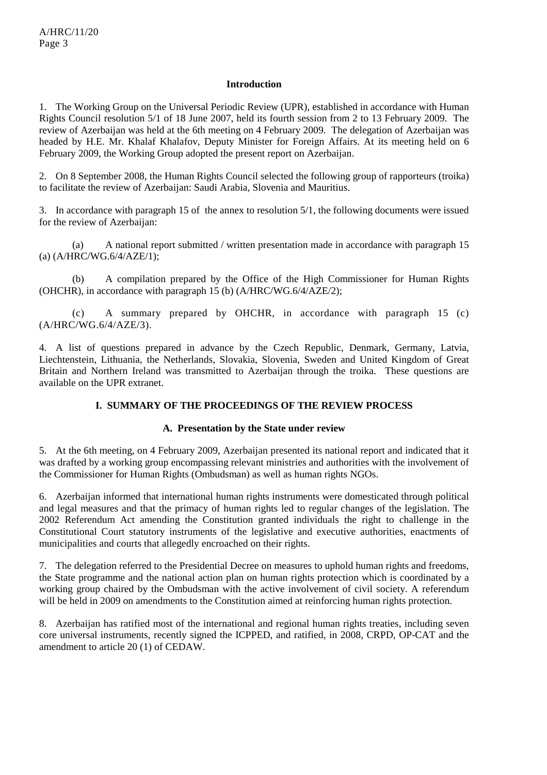#### **Introduction**

1. The Working Group on the Universal Periodic Review (UPR), established in accordance with Human Rights Council resolution 5/1 of 18 June 2007, held its fourth session from 2 to 13 February 2009. The review of Azerbaijan was held at the 6th meeting on 4 February 2009. The delegation of Azerbaijan was headed by H.E. Mr. Khalaf Khalafov, Deputy Minister for Foreign Affairs. At its meeting held on 6 February 2009, the Working Group adopted the present report on Azerbaijan.

2. On 8 September 2008, the Human Rights Council selected the following group of rapporteurs (troika) to facilitate the review of Azerbaijan: Saudi Arabia, Slovenia and Mauritius.

3. In accordance with paragraph 15 of the annex to resolution 5/1, the following documents were issued for the review of Azerbaijan:

 (a) A national report submitted / written presentation made in accordance with paragraph 15 (a) (A/HRC/WG.6/4/AZE/1);

 (b) A compilation prepared by the Office of the High Commissioner for Human Rights (OHCHR), in accordance with paragraph 15 (b) (A/HRC/WG.6/4/AZE/2);

 (c) A summary prepared by OHCHR, in accordance with paragraph 15 (c) (A/HRC/WG.6/4/AZE/3).

4. A list of questions prepared in advance by the Czech Republic, Denmark, Germany, Latvia, Liechtenstein, Lithuania, the Netherlands, Slovakia, Slovenia, Sweden and United Kingdom of Great Britain and Northern Ireland was transmitted to Azerbaijan through the troika. These questions are available on the UPR extranet.

#### **I. SUMMARY OF THE PROCEEDINGS OF THE REVIEW PROCESS**

#### **A. Presentation by the State under review**

5. At the 6th meeting, on 4 February 2009, Azerbaijan presented its national report and indicated that it was drafted by a working group encompassing relevant ministries and authorities with the involvement of the Commissioner for Human Rights (Ombudsman) as well as human rights NGOs.

6. Azerbaijan informed that international human rights instruments were domesticated through political and legal measures and that the primacy of human rights led to regular changes of the legislation. The 2002 Referendum Act amending the Constitution granted individuals the right to challenge in the Constitutional Court statutory instruments of the legislative and executive authorities, enactments of municipalities and courts that allegedly encroached on their rights.

7. The delegation referred to the Presidential Decree on measures to uphold human rights and freedoms, the State programme and the national action plan on human rights protection which is coordinated by a working group chaired by the Ombudsman with the active involvement of civil society. A referendum will be held in 2009 on amendments to the Constitution aimed at reinforcing human rights protection.

8. Azerbaijan has ratified most of the international and regional human rights treaties, including seven core universal instruments, recently signed the ICPPED, and ratified, in 2008, CRPD, OP-CAT and the amendment to article 20 (1) of CEDAW.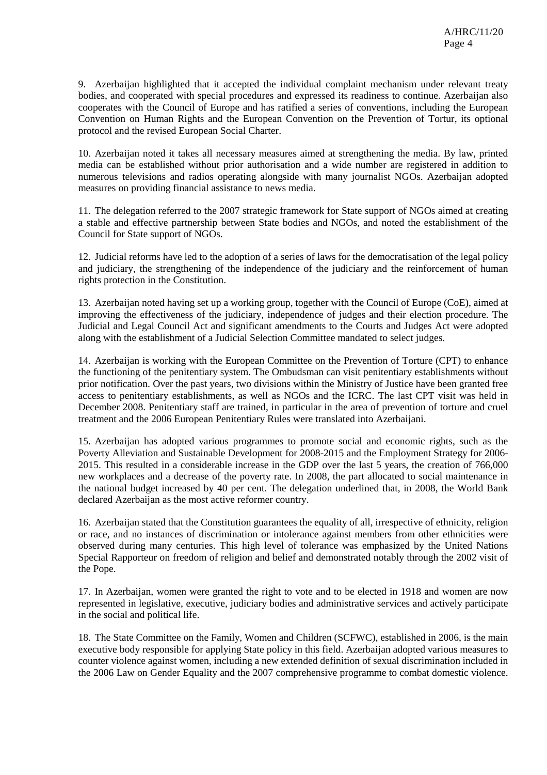9. Azerbaijan highlighted that it accepted the individual complaint mechanism under relevant treaty bodies, and cooperated with special procedures and expressed its readiness to continue. Azerbaijan also cooperates with the Council of Europe and has ratified a series of conventions, including the European Convention on Human Rights and the European Convention on the Prevention of Tortur, its optional protocol and the revised European Social Charter.

10. Azerbaijan noted it takes all necessary measures aimed at strengthening the media. By law, printed media can be established without prior authorisation and a wide number are registered in addition to numerous televisions and radios operating alongside with many journalist NGOs. Azerbaijan adopted measures on providing financial assistance to news media.

11. The delegation referred to the 2007 strategic framework for State support of NGOs aimed at creating a stable and effective partnership between State bodies and NGOs, and noted the establishment of the Council for State support of NGOs.

12. Judicial reforms have led to the adoption of a series of laws for the democratisation of the legal policy and judiciary, the strengthening of the independence of the judiciary and the reinforcement of human rights protection in the Constitution.

13. Azerbaijan noted having set up a working group, together with the Council of Europe (CoE), aimed at improving the effectiveness of the judiciary, independence of judges and their election procedure. The Judicial and Legal Council Act and significant amendments to the Courts and Judges Act were adopted along with the establishment of a Judicial Selection Committee mandated to select judges.

14. Azerbaijan is working with the European Committee on the Prevention of Torture (CPT) to enhance the functioning of the penitentiary system. The Ombudsman can visit penitentiary establishments without prior notification. Over the past years, two divisions within the Ministry of Justice have been granted free access to penitentiary establishments, as well as NGOs and the ICRC. The last CPT visit was held in December 2008. Penitentiary staff are trained, in particular in the area of prevention of torture and cruel treatment and the 2006 European Penitentiary Rules were translated into Azerbaijani.

15. Azerbaijan has adopted various programmes to promote social and economic rights, such as the Poverty Alleviation and Sustainable Development for 2008-2015 and the Employment Strategy for 2006- 2015. This resulted in a considerable increase in the GDP over the last 5 years, the creation of 766,000 new workplaces and a decrease of the poverty rate. In 2008, the part allocated to social maintenance in the national budget increased by 40 per cent. The delegation underlined that, in 2008, the World Bank declared Azerbaijan as the most active reformer country.

16. Azerbaijan stated that the Constitution guarantees the equality of all, irrespective of ethnicity, religion or race, and no instances of discrimination or intolerance against members from other ethnicities were observed during many centuries. This high level of tolerance was emphasized by the United Nations Special Rapporteur on freedom of religion and belief and demonstrated notably through the 2002 visit of the Pope.

17. In Azerbaijan, women were granted the right to vote and to be elected in 1918 and women are now represented in legislative, executive, judiciary bodies and administrative services and actively participate in the social and political life.

18. The State Committee on the Family, Women and Children (SCFWC), established in 2006, is the main executive body responsible for applying State policy in this field. Azerbaijan adopted various measures to counter violence against women, including a new extended definition of sexual discrimination included in the 2006 Law on Gender Equality and the 2007 comprehensive programme to combat domestic violence.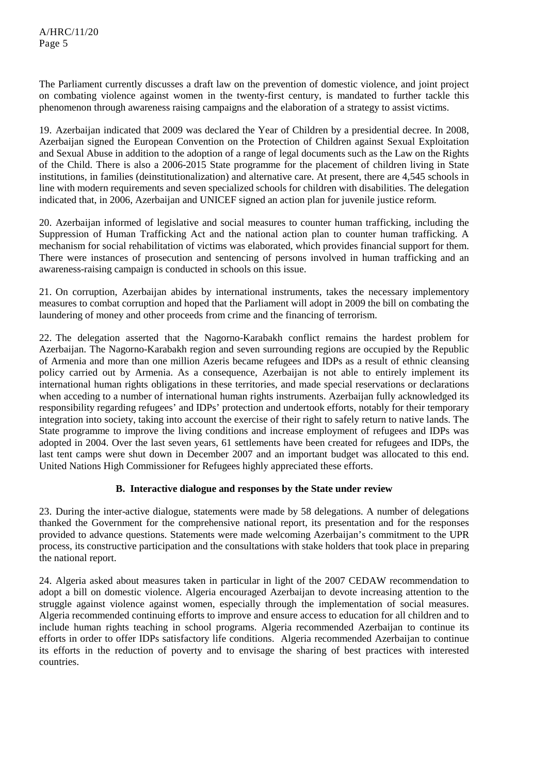The Parliament currently discusses a draft law on the prevention of domestic violence, and joint project on combating violence against women in the twenty-first century, is mandated to further tackle this phenomenon through awareness raising campaigns and the elaboration of a strategy to assist victims.

19. Azerbaijan indicated that 2009 was declared the Year of Children by a presidential decree. In 2008, Azerbaijan signed the European Convention on the Protection of Children against Sexual Exploitation and Sexual Abuse in addition to the adoption of a range of legal documents such as the Law on the Rights of the Child. There is also a 2006-2015 State programme for the placement of children living in State institutions, in families (deinstitutionalization) and alternative care. At present, there are 4,545 schools in line with modern requirements and seven specialized schools for children with disabilities. The delegation indicated that, in 2006, Azerbaijan and UNICEF signed an action plan for juvenile justice reform.

20. Azerbaijan informed of legislative and social measures to counter human trafficking, including the Suppression of Human Trafficking Act and the national action plan to counter human trafficking. A mechanism for social rehabilitation of victims was elaborated, which provides financial support for them. There were instances of prosecution and sentencing of persons involved in human trafficking and an awareness-raising campaign is conducted in schools on this issue.

21. On corruption, Azerbaijan abides by international instruments, takes the necessary implementory measures to combat corruption and hoped that the Parliament will adopt in 2009 the bill on combating the laundering of money and other proceeds from crime and the financing of terrorism.

22. The delegation asserted that the Nagorno-Karabakh conflict remains the hardest problem for Azerbaijan. The Nagorno-Karabakh region and seven surrounding regions are occupied by the Republic of Armenia and more than one million Azeris became refugees and IDPs as a result of ethnic cleansing policy carried out by Armenia. As a consequence, Azerbaijan is not able to entirely implement its international human rights obligations in these territories, and made special reservations or declarations when acceding to a number of international human rights instruments. Azerbaijan fully acknowledged its responsibility regarding refugees' and IDPs' protection and undertook efforts, notably for their temporary integration into society, taking into account the exercise of their right to safely return to native lands. The State programme to improve the living conditions and increase employment of refugees and IDPs was adopted in 2004. Over the last seven years, 61 settlements have been created for refugees and IDPs, the last tent camps were shut down in December 2007 and an important budget was allocated to this end. United Nations High Commissioner for Refugees highly appreciated these efforts.

## **B. Interactive dialogue and responses by the State under review**

23. During the inter-active dialogue, statements were made by 58 delegations. A number of delegations thanked the Government for the comprehensive national report, its presentation and for the responses provided to advance questions. Statements were made welcoming Azerbaijan's commitment to the UPR process, its constructive participation and the consultations with stake holders that took place in preparing the national report.

24. Algeria asked about measures taken in particular in light of the 2007 CEDAW recommendation to adopt a bill on domestic violence. Algeria encouraged Azerbaijan to devote increasing attention to the struggle against violence against women, especially through the implementation of social measures. Algeria recommended continuing efforts to improve and ensure access to education for all children and to include human rights teaching in school programs. Algeria recommended Azerbaijan to continue its efforts in order to offer IDPs satisfactory life conditions. Algeria recommended Azerbaijan to continue its efforts in the reduction of poverty and to envisage the sharing of best practices with interested countries.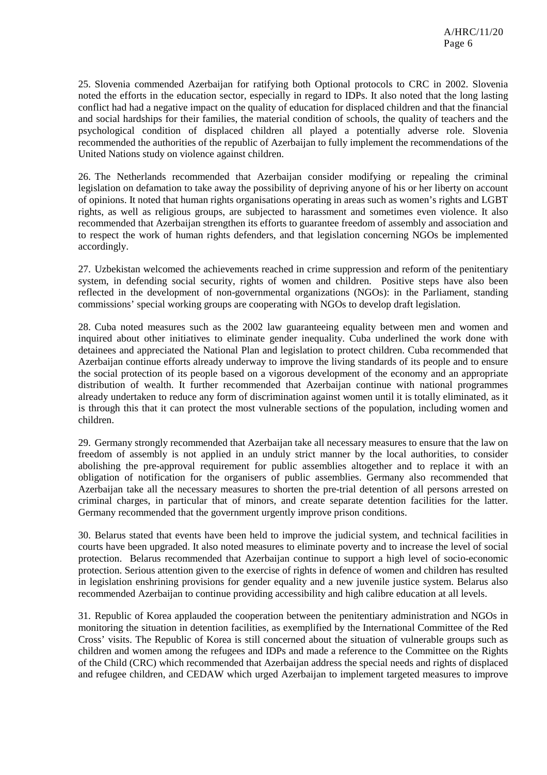25. Slovenia commended Azerbaijan for ratifying both Optional protocols to CRC in 2002. Slovenia noted the efforts in the education sector, especially in regard to IDPs. It also noted that the long lasting conflict had had a negative impact on the quality of education for displaced children and that the financial and social hardships for their families, the material condition of schools, the quality of teachers and the psychological condition of displaced children all played a potentially adverse role. Slovenia recommended the authorities of the republic of Azerbaijan to fully implement the recommendations of the United Nations study on violence against children.

26. The Netherlands recommended that Azerbaijan consider modifying or repealing the criminal legislation on defamation to take away the possibility of depriving anyone of his or her liberty on account of opinions. It noted that human rights organisations operating in areas such as women's rights and LGBT rights, as well as religious groups, are subjected to harassment and sometimes even violence. It also recommended that Azerbaijan strengthen its efforts to guarantee freedom of assembly and association and to respect the work of human rights defenders, and that legislation concerning NGOs be implemented accordingly.

27. Uzbekistan welcomed the achievements reached in crime suppression and reform of the penitentiary system, in defending social security, rights of women and children. Positive steps have also been reflected in the development of non-governmental organizations (NGOs): in the Parliament, standing commissions' special working groups are cooperating with NGOs to develop draft legislation.

28. Cuba noted measures such as the 2002 law guaranteeing equality between men and women and inquired about other initiatives to eliminate gender inequality. Cuba underlined the work done with detainees and appreciated the National Plan and legislation to protect children. Cuba recommended that Azerbaijan continue efforts already underway to improve the living standards of its people and to ensure the social protection of its people based on a vigorous development of the economy and an appropriate distribution of wealth. It further recommended that Azerbaijan continue with national programmes already undertaken to reduce any form of discrimination against women until it is totally eliminated, as it is through this that it can protect the most vulnerable sections of the population, including women and children.

29. Germany strongly recommended that Azerbaijan take all necessary measures to ensure that the law on freedom of assembly is not applied in an unduly strict manner by the local authorities, to consider abolishing the pre-approval requirement for public assemblies altogether and to replace it with an obligation of notification for the organisers of public assemblies. Germany also recommended that Azerbaijan take all the necessary measures to shorten the pre-trial detention of all persons arrested on criminal charges, in particular that of minors, and create separate detention facilities for the latter. Germany recommended that the government urgently improve prison conditions.

30. Belarus stated that events have been held to improve the judicial system, and technical facilities in courts have been upgraded. It also noted measures to eliminate poverty and to increase the level of social protection. Belarus recommended that Azerbaijan continue to support a high level of socio-economic protection. Serious attention given to the exercise of rights in defence of women and children has resulted in legislation enshrining provisions for gender equality and a new juvenile justice system. Belarus also recommended Azerbaijan to continue providing accessibility and high calibre education at all levels.

31. Republic of Korea applauded the cooperation between the penitentiary administration and NGOs in monitoring the situation in detention facilities, as exemplified by the International Committee of the Red Cross' visits. The Republic of Korea is still concerned about the situation of vulnerable groups such as children and women among the refugees and IDPs and made a reference to the Committee on the Rights of the Child (CRC) which recommended that Azerbaijan address the special needs and rights of displaced and refugee children, and CEDAW which urged Azerbaijan to implement targeted measures to improve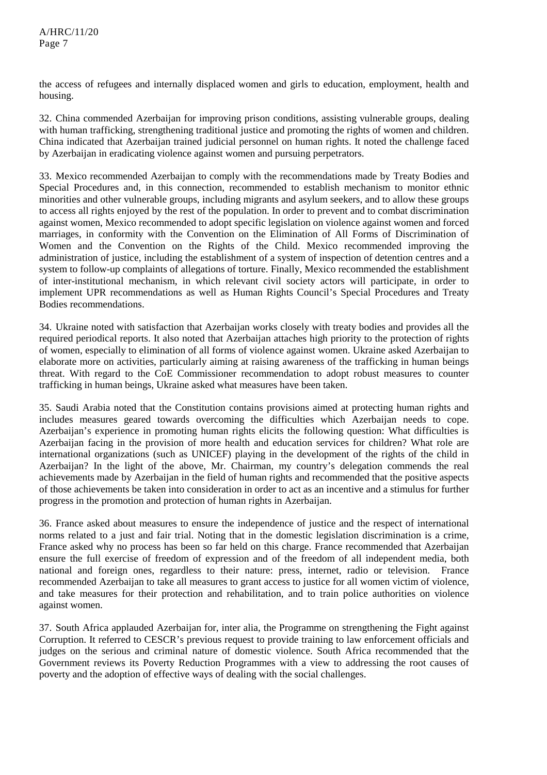the access of refugees and internally displaced women and girls to education, employment, health and housing.

32. China commended Azerbaijan for improving prison conditions, assisting vulnerable groups, dealing with human trafficking, strengthening traditional justice and promoting the rights of women and children. China indicated that Azerbaijan trained judicial personnel on human rights. It noted the challenge faced by Azerbaijan in eradicating violence against women and pursuing perpetrators.

33. Mexico recommended Azerbaijan to comply with the recommendations made by Treaty Bodies and Special Procedures and, in this connection, recommended to establish mechanism to monitor ethnic minorities and other vulnerable groups, including migrants and asylum seekers, and to allow these groups to access all rights enjoyed by the rest of the population. In order to prevent and to combat discrimination against women, Mexico recommended to adopt specific legislation on violence against women and forced marriages, in conformity with the Convention on the Elimination of All Forms of Discrimination of Women and the Convention on the Rights of the Child. Mexico recommended improving the administration of justice, including the establishment of a system of inspection of detention centres and a system to follow-up complaints of allegations of torture. Finally, Mexico recommended the establishment of inter-institutional mechanism, in which relevant civil society actors will participate, in order to implement UPR recommendations as well as Human Rights Council's Special Procedures and Treaty Bodies recommendations.

34. Ukraine noted with satisfaction that Azerbaijan works closely with treaty bodies and provides all the required periodical reports. It also noted that Azerbaijan attaches high priority to the protection of rights of women, especially to elimination of all forms of violence against women. Ukraine asked Azerbaijan to elaborate more on activities, particularly aiming at raising awareness of the trafficking in human beings threat. With regard to the CoE Commissioner recommendation to adopt robust measures to counter trafficking in human beings, Ukraine asked what measures have been taken.

35. Saudi Arabia noted that the Constitution contains provisions aimed at protecting human rights and includes measures geared towards overcoming the difficulties which Azerbaijan needs to cope. Azerbaijan's experience in promoting human rights elicits the following question: What difficulties is Azerbaijan facing in the provision of more health and education services for children? What role are international organizations (such as UNICEF) playing in the development of the rights of the child in Azerbaijan? In the light of the above, Mr. Chairman, my country's delegation commends the real achievements made by Azerbaijan in the field of human rights and recommended that the positive aspects of those achievements be taken into consideration in order to act as an incentive and a stimulus for further progress in the promotion and protection of human rights in Azerbaijan.

36. France asked about measures to ensure the independence of justice and the respect of international norms related to a just and fair trial. Noting that in the domestic legislation discrimination is a crime, France asked why no process has been so far held on this charge. France recommended that Azerbaijan ensure the full exercise of freedom of expression and of the freedom of all independent media, both national and foreign ones, regardless to their nature: press, internet, radio or television. France recommended Azerbaijan to take all measures to grant access to justice for all women victim of violence, and take measures for their protection and rehabilitation, and to train police authorities on violence against women.

37. South Africa applauded Azerbaijan for, inter alia, the Programme on strengthening the Fight against Corruption. It referred to CESCR's previous request to provide training to law enforcement officials and judges on the serious and criminal nature of domestic violence. South Africa recommended that the Government reviews its Poverty Reduction Programmes with a view to addressing the root causes of poverty and the adoption of effective ways of dealing with the social challenges.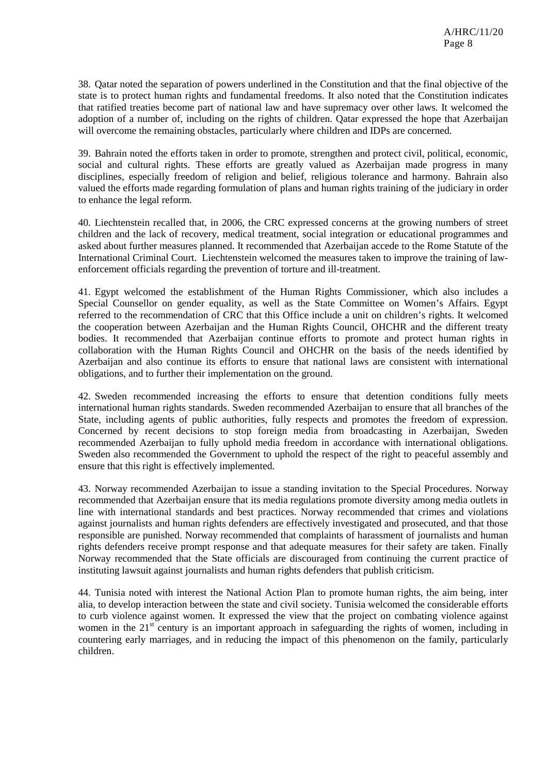38. Qatar noted the separation of powers underlined in the Constitution and that the final objective of the state is to protect human rights and fundamental freedoms. It also noted that the Constitution indicates that ratified treaties become part of national law and have supremacy over other laws. It welcomed the adoption of a number of, including on the rights of children. Qatar expressed the hope that Azerbaijan will overcome the remaining obstacles, particularly where children and IDPs are concerned.

39. Bahrain noted the efforts taken in order to promote, strengthen and protect civil, political, economic, social and cultural rights. These efforts are greatly valued as Azerbaijan made progress in many disciplines, especially freedom of religion and belief, religious tolerance and harmony. Bahrain also valued the efforts made regarding formulation of plans and human rights training of the judiciary in order to enhance the legal reform.

40. Liechtenstein recalled that, in 2006, the CRC expressed concerns at the growing numbers of street children and the lack of recovery, medical treatment, social integration or educational programmes and asked about further measures planned. It recommended that Azerbaijan accede to the Rome Statute of the International Criminal Court. Liechtenstein welcomed the measures taken to improve the training of lawenforcement officials regarding the prevention of torture and ill-treatment.

41. Egypt welcomed the establishment of the Human Rights Commissioner, which also includes a Special Counsellor on gender equality, as well as the State Committee on Women's Affairs. Egypt referred to the recommendation of CRC that this Office include a unit on children's rights. It welcomed the cooperation between Azerbaijan and the Human Rights Council, OHCHR and the different treaty bodies. It recommended that Azerbaijan continue efforts to promote and protect human rights in collaboration with the Human Rights Council and OHCHR on the basis of the needs identified by Azerbaijan and also continue its efforts to ensure that national laws are consistent with international obligations, and to further their implementation on the ground.

42. Sweden recommended increasing the efforts to ensure that detention conditions fully meets international human rights standards. Sweden recommended Azerbaijan to ensure that all branches of the State, including agents of public authorities, fully respects and promotes the freedom of expression. Concerned by recent decisions to stop foreign media from broadcasting in Azerbaijan, Sweden recommended Azerbaijan to fully uphold media freedom in accordance with international obligations. Sweden also recommended the Government to uphold the respect of the right to peaceful assembly and ensure that this right is effectively implemented.

43. Norway recommended Azerbaijan to issue a standing invitation to the Special Procedures. Norway recommended that Azerbaijan ensure that its media regulations promote diversity among media outlets in line with international standards and best practices. Norway recommended that crimes and violations against journalists and human rights defenders are effectively investigated and prosecuted, and that those responsible are punished. Norway recommended that complaints of harassment of journalists and human rights defenders receive prompt response and that adequate measures for their safety are taken. Finally Norway recommended that the State officials are discouraged from continuing the current practice of instituting lawsuit against journalists and human rights defenders that publish criticism.

44. Tunisia noted with interest the National Action Plan to promote human rights, the aim being, inter alia, to develop interaction between the state and civil society. Tunisia welcomed the considerable efforts to curb violence against women. It expressed the view that the project on combating violence against women in the  $21<sup>st</sup>$  century is an important approach in safeguarding the rights of women, including in countering early marriages, and in reducing the impact of this phenomenon on the family, particularly children.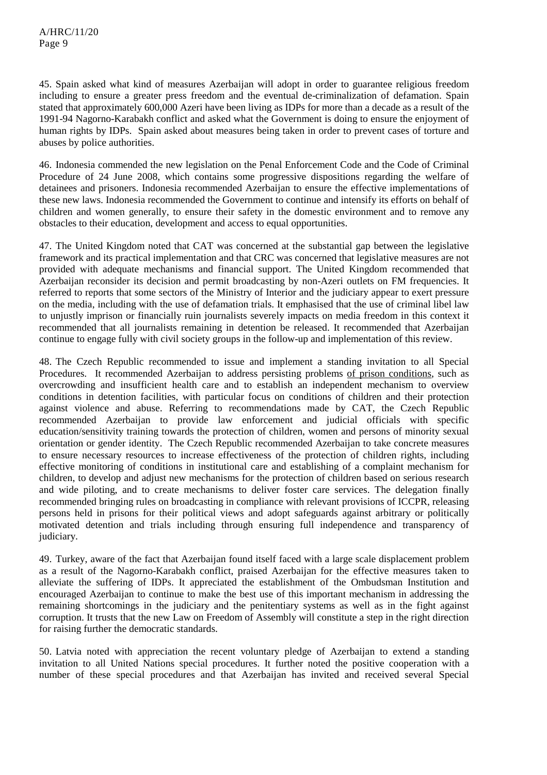45. Spain asked what kind of measures Azerbaijan will adopt in order to guarantee religious freedom including to ensure a greater press freedom and the eventual de-criminalization of defamation. Spain stated that approximately 600,000 Azeri have been living as IDPs for more than a decade as a result of the 1991-94 Nagorno-Karabakh conflict and asked what the Government is doing to ensure the enjoyment of human rights by IDPs. Spain asked about measures being taken in order to prevent cases of torture and abuses by police authorities.

46. Indonesia commended the new legislation on the Penal Enforcement Code and the Code of Criminal Procedure of 24 June 2008, which contains some progressive dispositions regarding the welfare of detainees and prisoners. Indonesia recommended Azerbaijan to ensure the effective implementations of these new laws. Indonesia recommended the Government to continue and intensify its efforts on behalf of children and women generally, to ensure their safety in the domestic environment and to remove any obstacles to their education, development and access to equal opportunities.

47. The United Kingdom noted that CAT was concerned at the substantial gap between the legislative framework and its practical implementation and that CRC was concerned that legislative measures are not provided with adequate mechanisms and financial support. The United Kingdom recommended that Azerbaijan reconsider its decision and permit broadcasting by non-Azeri outlets on FM frequencies. It referred to reports that some sectors of the Ministry of Interior and the judiciary appear to exert pressure on the media, including with the use of defamation trials. It emphasised that the use of criminal libel law to unjustly imprison or financially ruin journalists severely impacts on media freedom in this context it recommended that all journalists remaining in detention be released. It recommended that Azerbaijan continue to engage fully with civil society groups in the follow-up and implementation of this review.

48. The Czech Republic recommended to issue and implement a standing invitation to all Special Procedures. It recommended Azerbaijan to address persisting problems of prison conditions, such as overcrowding and insufficient health care and to establish an independent mechanism to overview conditions in detention facilities, with particular focus on conditions of children and their protection against violence and abuse. Referring to recommendations made by CAT, the Czech Republic recommended Azerbaijan to provide law enforcement and judicial officials with specific education/sensitivity training towards the protection of children, women and persons of minority sexual orientation or gender identity. The Czech Republic recommended Azerbaijan to take concrete measures to ensure necessary resources to increase effectiveness of the protection of children rights, including effective monitoring of conditions in institutional care and establishing of a complaint mechanism for children, to develop and adjust new mechanisms for the protection of children based on serious research and wide piloting, and to create mechanisms to deliver foster care services. The delegation finally recommended bringing rules on broadcasting in compliance with relevant provisions of ICCPR, releasing persons held in prisons for their political views and adopt safeguards against arbitrary or politically motivated detention and trials including through ensuring full independence and transparency of judiciary.

49. Turkey, aware of the fact that Azerbaijan found itself faced with a large scale displacement problem as a result of the Nagorno-Karabakh conflict, praised Azerbaijan for the effective measures taken to alleviate the suffering of IDPs. It appreciated the establishment of the Ombudsman Institution and encouraged Azerbaijan to continue to make the best use of this important mechanism in addressing the remaining shortcomings in the judiciary and the penitentiary systems as well as in the fight against corruption. It trusts that the new Law on Freedom of Assembly will constitute a step in the right direction for raising further the democratic standards.

50. Latvia noted with appreciation the recent voluntary pledge of Azerbaijan to extend a standing invitation to all United Nations special procedures. It further noted the positive cooperation with a number of these special procedures and that Azerbaijan has invited and received several Special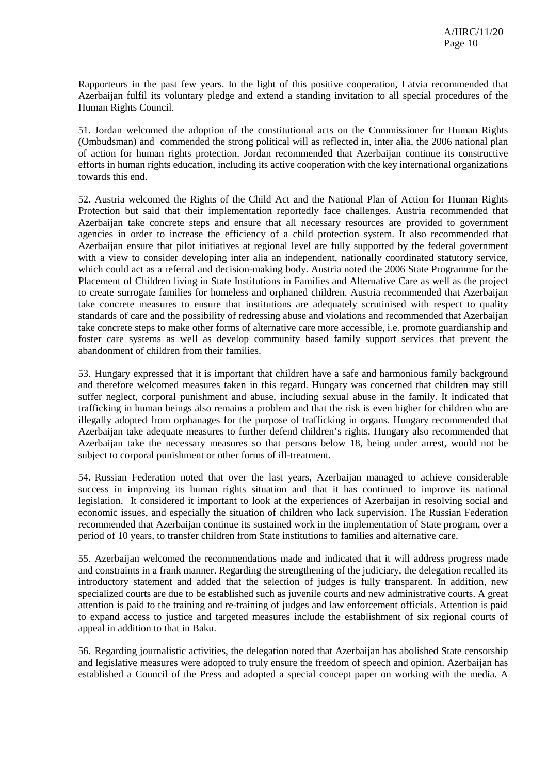Rapporteurs in the past few years. In the light of this positive cooperation, Latvia recommended that Azerbaijan fulfil its voluntary pledge and extend a standing invitation to all special procedures of the Human Rights Council.

51. Jordan welcomed the adoption of the constitutional acts on the Commissioner for Human Rights (Ombudsman) and commended the strong political will as reflected in, inter alia, the 2006 national plan of action for human rights protection. Jordan recommended that Azerbaijan continue its constructive efforts in human rights education, including its active cooperation with the key international organizations towards this end.

52. Austria welcomed the Rights of the Child Act and the National Plan of Action for Human Rights Protection but said that their implementation reportedly face challenges. Austria recommended that Azerbaijan take concrete steps and ensure that all necessary resources are provided to government agencies in order to increase the efficiency of a child protection system. It also recommended that Azerbaijan ensure that pilot initiatives at regional level are fully supported by the federal government with a view to consider developing inter alia an independent, nationally coordinated statutory service, which could act as a referral and decision-making body. Austria noted the 2006 State Programme for the Placement of Children living in State Institutions in Families and Alternative Care as well as the project to create surrogate families for homeless and orphaned children. Austria recommended that Azerbaijan take concrete measures to ensure that institutions are adequately scrutinised with respect to quality standards of care and the possibility of redressing abuse and violations and recommended that Azerbaijan take concrete steps to make other forms of alternative care more accessible, i.e. promote guardianship and foster care systems as well as develop community based family support services that prevent the abandonment of children from their families.

53. Hungary expressed that it is important that children have a safe and harmonious family background and therefore welcomed measures taken in this regard. Hungary was concerned that children may still suffer neglect, corporal punishment and abuse, including sexual abuse in the family. It indicated that trafficking in human beings also remains a problem and that the risk is even higher for children who are illegally adopted from orphanages for the purpose of trafficking in organs. Hungary recommended that Azerbaijan take adequate measures to further defend children's rights. Hungary also recommended that Azerbaijan take the necessary measures so that persons below 18, being under arrest, would not be subject to corporal punishment or other forms of ill-treatment.

54. Russian Federation noted that over the last years, Azerbaijan managed to achieve considerable success in improving its human rights situation and that it has continued to improve its national legislation. It considered it important to look at the experiences of Azerbaijan in resolving social and economic issues, and especially the situation of children who lack supervision. The Russian Federation recommended that Azerbaijan continue its sustained work in the implementation of State program, over a period of 10 years, to transfer children from State institutions to families and alternative care.

55. Azerbaijan welcomed the recommendations made and indicated that it will address progress made and constraints in a frank manner. Regarding the strengthening of the judiciary, the delegation recalled its introductory statement and added that the selection of judges is fully transparent. In addition, new specialized courts are due to be established such as juvenile courts and new administrative courts. A great attention is paid to the training and re-training of judges and law enforcement officials. Attention is paid to expand access to justice and targeted measures include the establishment of six regional courts of appeal in addition to that in Baku.

56. Regarding journalistic activities, the delegation noted that Azerbaijan has abolished State censorship and legislative measures were adopted to truly ensure the freedom of speech and opinion. Azerbaijan has established a Council of the Press and adopted a special concept paper on working with the media. A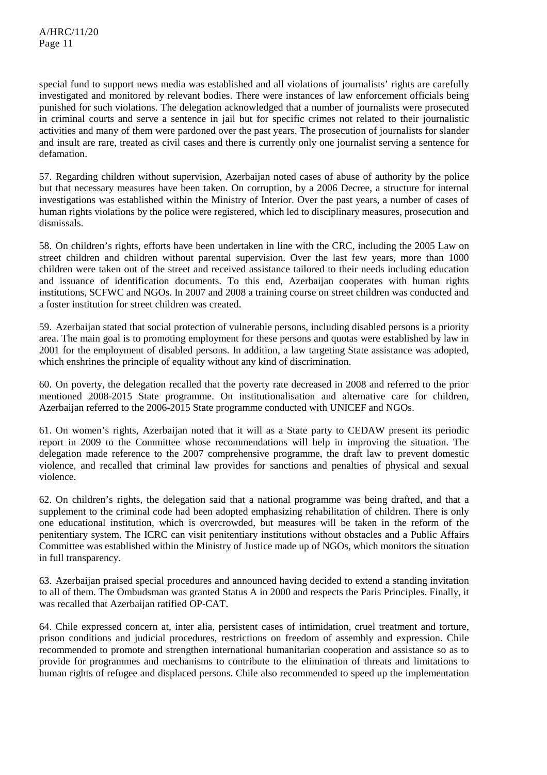special fund to support news media was established and all violations of journalists' rights are carefully investigated and monitored by relevant bodies. There were instances of law enforcement officials being punished for such violations. The delegation acknowledged that a number of journalists were prosecuted in criminal courts and serve a sentence in jail but for specific crimes not related to their journalistic activities and many of them were pardoned over the past years. The prosecution of journalists for slander and insult are rare, treated as civil cases and there is currently only one journalist serving a sentence for defamation.

57. Regarding children without supervision, Azerbaijan noted cases of abuse of authority by the police but that necessary measures have been taken. On corruption, by a 2006 Decree, a structure for internal investigations was established within the Ministry of Interior. Over the past years, a number of cases of human rights violations by the police were registered, which led to disciplinary measures, prosecution and dismissals.

58. On children's rights, efforts have been undertaken in line with the CRC, including the 2005 Law on street children and children without parental supervision. Over the last few years, more than 1000 children were taken out of the street and received assistance tailored to their needs including education and issuance of identification documents. To this end, Azerbaijan cooperates with human rights institutions, SCFWC and NGOs. In 2007 and 2008 a training course on street children was conducted and a foster institution for street children was created.

59. Azerbaijan stated that social protection of vulnerable persons, including disabled persons is a priority area. The main goal is to promoting employment for these persons and quotas were established by law in 2001 for the employment of disabled persons. In addition, a law targeting State assistance was adopted, which enshrines the principle of equality without any kind of discrimination.

60. On poverty, the delegation recalled that the poverty rate decreased in 2008 and referred to the prior mentioned 2008-2015 State programme. On institutionalisation and alternative care for children, Azerbaijan referred to the 2006-2015 State programme conducted with UNICEF and NGOs.

61. On women's rights, Azerbaijan noted that it will as a State party to CEDAW present its periodic report in 2009 to the Committee whose recommendations will help in improving the situation. The delegation made reference to the 2007 comprehensive programme, the draft law to prevent domestic violence, and recalled that criminal law provides for sanctions and penalties of physical and sexual violence.

62. On children's rights, the delegation said that a national programme was being drafted, and that a supplement to the criminal code had been adopted emphasizing rehabilitation of children. There is only one educational institution, which is overcrowded, but measures will be taken in the reform of the penitentiary system. The ICRC can visit penitentiary institutions without obstacles and a Public Affairs Committee was established within the Ministry of Justice made up of NGOs, which monitors the situation in full transparency.

63. Azerbaijan praised special procedures and announced having decided to extend a standing invitation to all of them. The Ombudsman was granted Status A in 2000 and respects the Paris Principles. Finally, it was recalled that Azerbaijan ratified OP-CAT.

64. Chile expressed concern at, inter alia, persistent cases of intimidation, cruel treatment and torture, prison conditions and judicial procedures, restrictions on freedom of assembly and expression. Chile recommended to promote and strengthen international humanitarian cooperation and assistance so as to provide for programmes and mechanisms to contribute to the elimination of threats and limitations to human rights of refugee and displaced persons. Chile also recommended to speed up the implementation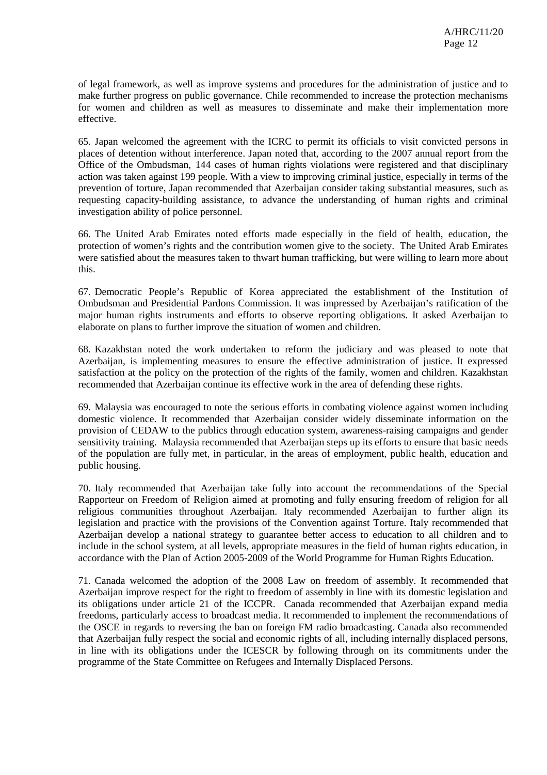of legal framework, as well as improve systems and procedures for the administration of justice and to make further progress on public governance. Chile recommended to increase the protection mechanisms for women and children as well as measures to disseminate and make their implementation more effective.

65. Japan welcomed the agreement with the ICRC to permit its officials to visit convicted persons in places of detention without interference. Japan noted that, according to the 2007 annual report from the Office of the Ombudsman, 144 cases of human rights violations were registered and that disciplinary action was taken against 199 people. With a view to improving criminal justice, especially in terms of the prevention of torture, Japan recommended that Azerbaijan consider taking substantial measures, such as requesting capacity-building assistance, to advance the understanding of human rights and criminal investigation ability of police personnel.

66. The United Arab Emirates noted efforts made especially in the field of health, education, the protection of women's rights and the contribution women give to the society. The United Arab Emirates were satisfied about the measures taken to thwart human trafficking, but were willing to learn more about this.

67. Democratic People's Republic of Korea appreciated the establishment of the Institution of Ombudsman and Presidential Pardons Commission. It was impressed by Azerbaijan's ratification of the major human rights instruments and efforts to observe reporting obligations. It asked Azerbaijan to elaborate on plans to further improve the situation of women and children.

68. Kazakhstan noted the work undertaken to reform the judiciary and was pleased to note that Azerbaijan, is implementing measures to ensure the effective administration of justice. It expressed satisfaction at the policy on the protection of the rights of the family, women and children. Kazakhstan recommended that Azerbaijan continue its effective work in the area of defending these rights.

69. Malaysia was encouraged to note the serious efforts in combating violence against women including domestic violence. It recommended that Azerbaijan consider widely disseminate information on the provision of CEDAW to the publics through education system, awareness-raising campaigns and gender sensitivity training. Malaysia recommended that Azerbaijan steps up its efforts to ensure that basic needs of the population are fully met, in particular, in the areas of employment, public health, education and public housing.

70. Italy recommended that Azerbaijan take fully into account the recommendations of the Special Rapporteur on Freedom of Religion aimed at promoting and fully ensuring freedom of religion for all religious communities throughout Azerbaijan. Italy recommended Azerbaijan to further align its legislation and practice with the provisions of the Convention against Torture. Italy recommended that Azerbaijan develop a national strategy to guarantee better access to education to all children and to include in the school system, at all levels, appropriate measures in the field of human rights education, in accordance with the Plan of Action 2005-2009 of the World Programme for Human Rights Education.

71. Canada welcomed the adoption of the 2008 Law on freedom of assembly. It recommended that Azerbaijan improve respect for the right to freedom of assembly in line with its domestic legislation and its obligations under article 21 of the ICCPR. Canada recommended that Azerbaijan expand media freedoms, particularly access to broadcast media. It recommended to implement the recommendations of the OSCE in regards to reversing the ban on foreign FM radio broadcasting. Canada also recommended that Azerbaijan fully respect the social and economic rights of all, including internally displaced persons, in line with its obligations under the ICESCR by following through on its commitments under the programme of the State Committee on Refugees and Internally Displaced Persons.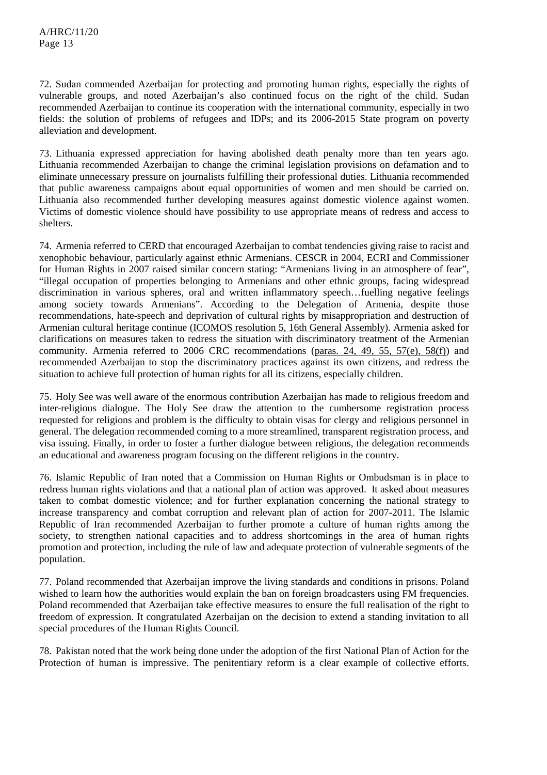72. Sudan commended Azerbaijan for protecting and promoting human rights, especially the rights of vulnerable groups, and noted Azerbaijan's also continued focus on the right of the child. Sudan recommended Azerbaijan to continue its cooperation with the international community, especially in two fields: the solution of problems of refugees and IDPs; and its 2006-2015 State program on poverty alleviation and development.

73. Lithuania expressed appreciation for having abolished death penalty more than ten years ago. Lithuania recommended Azerbaijan to change the criminal legislation provisions on defamation and to eliminate unnecessary pressure on journalists fulfilling their professional duties. Lithuania recommended that public awareness campaigns about equal opportunities of women and men should be carried on. Lithuania also recommended further developing measures against domestic violence against women. Victims of domestic violence should have possibility to use appropriate means of redress and access to shelters.

74. Armenia referred to CERD that encouraged Azerbaijan to combat tendencies giving raise to racist and xenophobic behaviour, particularly against ethnic Armenians. CESCR in 2004, ECRI and Commissioner for Human Rights in 2007 raised similar concern stating: "Armenians living in an atmosphere of fear", "illegal occupation of properties belonging to Armenians and other ethnic groups, facing widespread discrimination in various spheres, oral and written inflammatory speech…fuelling negative feelings among society towards Armenians". According to the Delegation of Armenia, despite those recommendations, hate-speech and deprivation of cultural rights by misappropriation and destruction of Armenian cultural heritage continue (ICOMOS resolution 5, 16th General Assembly). Armenia asked for clarifications on measures taken to redress the situation with discriminatory treatment of the Armenian community. Armenia referred to 2006 CRC recommendations (paras. 24, 49, 55, 57(e), 58(f)) and recommended Azerbaijan to stop the discriminatory practices against its own citizens, and redress the situation to achieve full protection of human rights for all its citizens, especially children.

75. Holy See was well aware of the enormous contribution Azerbaijan has made to religious freedom and inter-religious dialogue. The Holy See draw the attention to the cumbersome registration process requested for religions and problem is the difficulty to obtain visas for clergy and religious personnel in general. The delegation recommended coming to a more streamlined, transparent registration process, and visa issuing. Finally, in order to foster a further dialogue between religions, the delegation recommends an educational and awareness program focusing on the different religions in the country.

76. Islamic Republic of Iran noted that a Commission on Human Rights or Ombudsman is in place to redress human rights violations and that a national plan of action was approved. It asked about measures taken to combat domestic violence; and for further explanation concerning the national strategy to increase transparency and combat corruption and relevant plan of action for 2007-2011. The Islamic Republic of Iran recommended Azerbaijan to further promote a culture of human rights among the society, to strengthen national capacities and to address shortcomings in the area of human rights promotion and protection, including the rule of law and adequate protection of vulnerable segments of the population.

77. Poland recommended that Azerbaijan improve the living standards and conditions in prisons. Poland wished to learn how the authorities would explain the ban on foreign broadcasters using FM frequencies. Poland recommended that Azerbaijan take effective measures to ensure the full realisation of the right to freedom of expression. It congratulated Azerbaijan on the decision to extend a standing invitation to all special procedures of the Human Rights Council.

78. Pakistan noted that the work being done under the adoption of the first National Plan of Action for the Protection of human is impressive. The penitentiary reform is a clear example of collective efforts.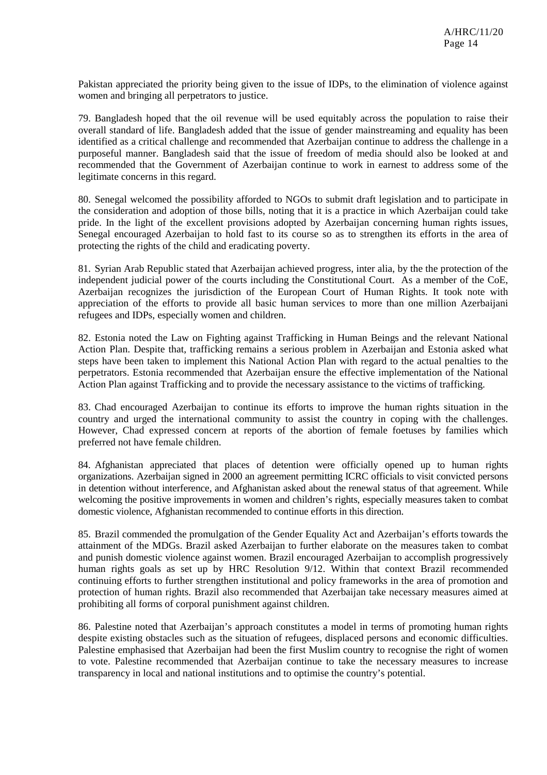Pakistan appreciated the priority being given to the issue of IDPs, to the elimination of violence against women and bringing all perpetrators to justice.

79. Bangladesh hoped that the oil revenue will be used equitably across the population to raise their overall standard of life. Bangladesh added that the issue of gender mainstreaming and equality has been identified as a critical challenge and recommended that Azerbaijan continue to address the challenge in a purposeful manner. Bangladesh said that the issue of freedom of media should also be looked at and recommended that the Government of Azerbaijan continue to work in earnest to address some of the legitimate concerns in this regard.

80. Senegal welcomed the possibility afforded to NGOs to submit draft legislation and to participate in the consideration and adoption of those bills, noting that it is a practice in which Azerbaijan could take pride. In the light of the excellent provisions adopted by Azerbaijan concerning human rights issues, Senegal encouraged Azerbaijan to hold fast to its course so as to strengthen its efforts in the area of protecting the rights of the child and eradicating poverty.

81. Syrian Arab Republic stated that Azerbaijan achieved progress, inter alia, by the the protection of the independent judicial power of the courts including the Constitutional Court. As a member of the CoE, Azerbaijan recognizes the jurisdiction of the European Court of Human Rights. It took note with appreciation of the efforts to provide all basic human services to more than one million Azerbaijani refugees and IDPs, especially women and children.

82. Estonia noted the Law on Fighting against Trafficking in Human Beings and the relevant National Action Plan. Despite that, trafficking remains a serious problem in Azerbaijan and Estonia asked what steps have been taken to implement this National Action Plan with regard to the actual penalties to the perpetrators. Estonia recommended that Azerbaijan ensure the effective implementation of the National Action Plan against Trafficking and to provide the necessary assistance to the victims of trafficking.

83. Chad encouraged Azerbaijan to continue its efforts to improve the human rights situation in the country and urged the international community to assist the country in coping with the challenges. However, Chad expressed concern at reports of the abortion of female foetuses by families which preferred not have female children.

84. Afghanistan appreciated that places of detention were officially opened up to human rights organizations. Azerbaijan signed in 2000 an agreement permitting ICRC officials to visit convicted persons in detention without interference, and Afghanistan asked about the renewal status of that agreement. While welcoming the positive improvements in women and children's rights, especially measures taken to combat domestic violence, Afghanistan recommended to continue efforts in this direction.

85. Brazil commended the promulgation of the Gender Equality Act and Azerbaijan's efforts towards the attainment of the MDGs. Brazil asked Azerbaijan to further elaborate on the measures taken to combat and punish domestic violence against women. Brazil encouraged Azerbaijan to accomplish progressively human rights goals as set up by HRC Resolution 9/12. Within that context Brazil recommended continuing efforts to further strengthen institutional and policy frameworks in the area of promotion and protection of human rights. Brazil also recommended that Azerbaijan take necessary measures aimed at prohibiting all forms of corporal punishment against children.

86. Palestine noted that Azerbaijan's approach constitutes a model in terms of promoting human rights despite existing obstacles such as the situation of refugees, displaced persons and economic difficulties. Palestine emphasised that Azerbaijan had been the first Muslim country to recognise the right of women to vote. Palestine recommended that Azerbaijan continue to take the necessary measures to increase transparency in local and national institutions and to optimise the country's potential.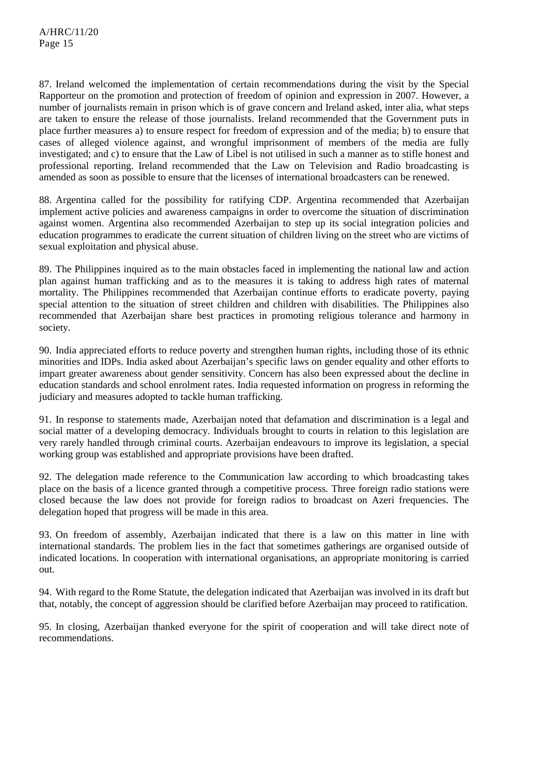87. Ireland welcomed the implementation of certain recommendations during the visit by the Special Rapporteur on the promotion and protection of freedom of opinion and expression in 2007. However, a number of journalists remain in prison which is of grave concern and Ireland asked, inter alia, what steps are taken to ensure the release of those journalists. Ireland recommended that the Government puts in place further measures a) to ensure respect for freedom of expression and of the media; b) to ensure that cases of alleged violence against, and wrongful imprisonment of members of the media are fully investigated; and c) to ensure that the Law of Libel is not utilised in such a manner as to stifle honest and professional reporting. Ireland recommended that the Law on Television and Radio broadcasting is amended as soon as possible to ensure that the licenses of international broadcasters can be renewed.

88. Argentina called for the possibility for ratifying CDP. Argentina recommended that Azerbaijan implement active policies and awareness campaigns in order to overcome the situation of discrimination against women. Argentina also recommended Azerbaijan to step up its social integration policies and education programmes to eradicate the current situation of children living on the street who are victims of sexual exploitation and physical abuse.

89. The Philippines inquired as to the main obstacles faced in implementing the national law and action plan against human trafficking and as to the measures it is taking to address high rates of maternal mortality. The Philippines recommended that Azerbaijan continue efforts to eradicate poverty, paying special attention to the situation of street children and children with disabilities. The Philippines also recommended that Azerbaijan share best practices in promoting religious tolerance and harmony in society.

90. India appreciated efforts to reduce poverty and strengthen human rights, including those of its ethnic minorities and IDPs. India asked about Azerbaijan's specific laws on gender equality and other efforts to impart greater awareness about gender sensitivity. Concern has also been expressed about the decline in education standards and school enrolment rates. India requested information on progress in reforming the judiciary and measures adopted to tackle human trafficking.

91. In response to statements made, Azerbaijan noted that defamation and discrimination is a legal and social matter of a developing democracy. Individuals brought to courts in relation to this legislation are very rarely handled through criminal courts. Azerbaijan endeavours to improve its legislation, a special working group was established and appropriate provisions have been drafted.

92. The delegation made reference to the Communication law according to which broadcasting takes place on the basis of a licence granted through a competitive process. Three foreign radio stations were closed because the law does not provide for foreign radios to broadcast on Azeri frequencies. The delegation hoped that progress will be made in this area.

93. On freedom of assembly, Azerbaijan indicated that there is a law on this matter in line with international standards. The problem lies in the fact that sometimes gatherings are organised outside of indicated locations. In cooperation with international organisations, an appropriate monitoring is carried out.

94. With regard to the Rome Statute, the delegation indicated that Azerbaijan was involved in its draft but that, notably, the concept of aggression should be clarified before Azerbaijan may proceed to ratification.

95. In closing, Azerbaijan thanked everyone for the spirit of cooperation and will take direct note of recommendations.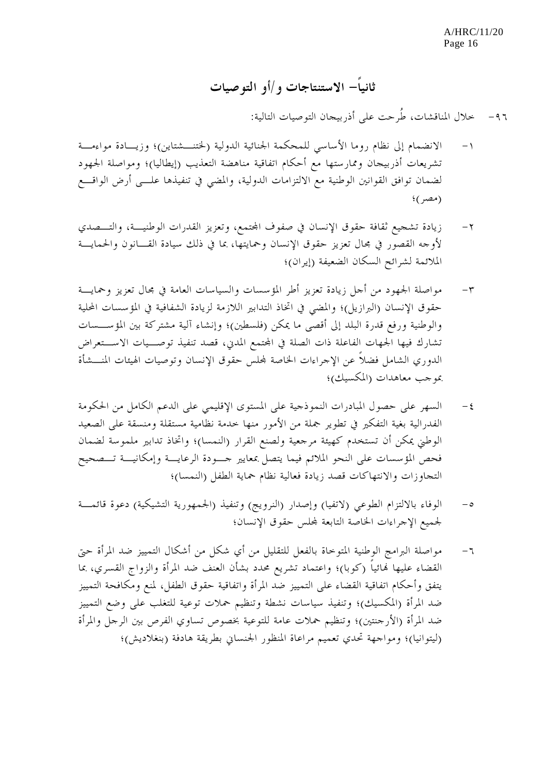A/HRC/11/20 Page 16

**ثانياً- الاستنتاجات و/أو التوصيات**

-٩٦ خلال المناقشات، طُرحت على أذربيجان التوصيات التالية:

- -١ الانضمام إلى نظام روما الأساسي للمحكمة الجنائية الدولية (لختنـشتاين)؛ وزيـادة مواءمـة تشريعات أذربيجان وممارستها مع أحكام اتفاقية مناهضة التعذيب (إيطاليا)؛ ومواصلة الجهود لضمان توافق القوانين الوطنية مع الالتزامات الدولية، والمضي في تنفيذها علـى أرض الواقـع (مصر)؛
- -٢ زيادة تشجيع ثقافة حقوق الإنسان في صفوف اجملتمع، وتعزيز القدرات الوطنيـة، والتـصدي لأوجه القصور في مجال تعزيز حقوق الإنسان وحمايتها، بما في ذلك سيادة القـانون والحمايـة الملائمة لشرائح السكان الضعيفة (إيران)؛
- -٣ مواصلة الجهود من أجل زيادة تعزيز أطر المؤسسات والسياسات العامة في مجال تعزيز وحمايـة حقوق الإنسان (البرازيل)؛ والمضي في اتخاذ التدابير اللازمة لزيادة الشفافية في المؤسسات المحلية والوطنية ورفع قدرة البلد إلى أقصى ما يمكن (فلسطين)؛ وإنشاء آلية مشتركة بين المؤسـسات تشارك فيها الجهات الفاعلة ذات الصلة في المحتمع المدني، قصد تنفيذ توصــيات الاســتعراض الدوري الشامل فضلاً عن الإجراءات الخاصة جمللس حقوق الإنسان وتوصيات الهيئات المنـشأة بموجب معاهدات (المكسيك)؛
- -٤ السهر على حصول المبادرات النموذجية على المستوى الإقليمي على الدعم الكامل من الحكومة الفدرالية بغية التفكير في تطوير جملة من الأمور منها خدمة نظامية مستقلة ومنسقة على الصعيد الوطني يمكن أن تستخدم كهيئة مرجعية ولصنع القرار (النمسا)؛ واتخاذ تدابير ملموسة لضمان فحص المؤسسات على النحو الملائم فيما يتصل بمعايير جـودة الر عايـة وإمكانيـة تـصحيح التجاوزات والانتهاكات قصد زيادة فعالية نظام حماية الطفل (النمسا)؛
- -٥ الوفاء بالالتزام الطوعي (لاتفيا) وإصدار (النرويج) وتنفيذ (الجمهورية التشيكية) دعوة قائمـة لجميع الإجراءات الخاصة التابعة جمللس حقوق الإنسان؛

-٦ مواصلة البرامج الوطنية المتوخاة بالفعل للتقليل من أي شكل من أشكال التمييز ضد المرأة حتى القضاء عليها هنائياً (كوبا)؛ واعتماد تشريع محدد بشأن العنف ضد المرأة والزواج القسري، بما يتفق وأحكام اتفاقية القضاء على التمييز ضد المرأة واتفاقية حقوق الطفل، لمنع ومكافحة التمييز ضد المرأة (المكسيك)؛ وتنفيذ سياسات نشطة وتنظيم حملات توعية للتغلب على وضع التمييز ضد المرأة (الأرجنتين)؛ وتنظيم حملات عامة للتوعية بخصوص تساوي الفرص بين الرجل والمرأة (ليتوانيا)؛ ومواجهة تحدي تعميم مراعاة المنظور الجنساني بطريقة هادفة (بنغلاديش)؛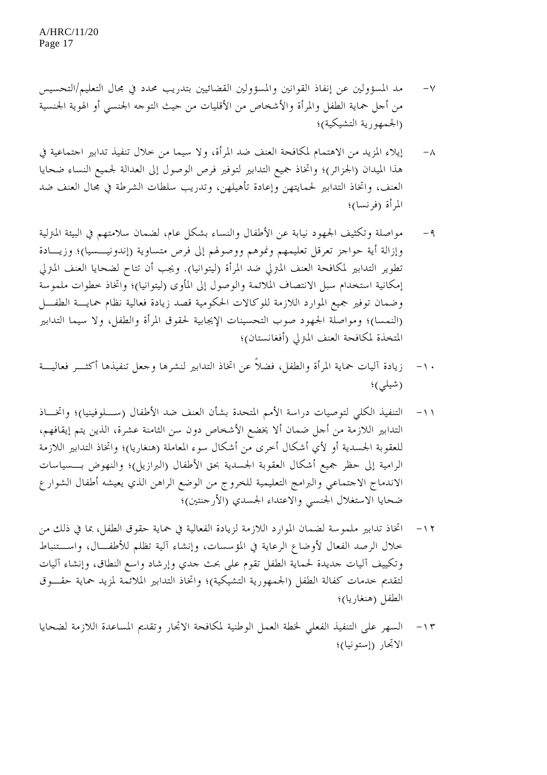- -٧ مد المسؤولين عن إنفاذ القوانين والمسؤولين القضائيين بتدريب محدد في مجال التعليم /التحسيس من أجل حماية الطفل والمرأة والأشخاص من الأقليات من حيث التوجه الجنسي أو الهوية الجنسية (الجمهورية التشيكية)؛
- -٨ إيلاء المزيد من الاهتمام لمكافحة العنف ضد المرأة، ولا سيما من خلال تنفيذ تدابير اجتماعية في هذا الميدان (الجزائر)؛ واتخاذ جميع التدابير لتوفير فرص الوصول إلى العدالة لجميع النساء ضحايا العنف، واتخاذ التدابير لحمايتهن وإعادة تأهيلهن، وتدريب سلطات الشرطة في مجال العنف ضد المرأة (فرنسا)؛
- -٩ مواصلة وتكثيف الجهود نيابة عن الأطفال والنساء بشكل عام، لضمان سلامتهم في البيئة المترلية وإزالة أية حواجز تعرقل تعليمهم ونموهم ووصولهم إلى فرص متساوية (إندونيـسيا)؛ وزيـادة تطوير التدابير لمكافحة العنف المترلي ضد المرأة (ليتوانيا). ويجب أن تتاح لضحايا العنف المترلي إمكانية استخدام سبل الانتصاف الملائمة والوصول إلى المأوى (ليتوانيا)؛ واتخاذ خطوات ملموسة وضمان توفير جميع الموارد اللازمة للوكالات الحكومية قصد زيادة فعالية نظام حمايـة الطفـل (النمسا)؛ ومواصلة الجهود صوب التحسينات الإيجابية لحقوق المرأة والطفل، ولا سيما التدابير المتخذة لمكافحة العنف المترلي (أفغانستان)؛
- -١٠ زيادة آليات حماية المرأة والطفل، فضلاً عن اتخاذ التدابير لنشرها وجعل تنفيذها أكثـر فعاليـة (شيلي)؛
- -١١ التنفيذ الكلي لتوصيات دراسة الأمم المتحدة بشأن العنف ضد الأطفال (سـلوفينيا)؛ واتخـاذ التدابير اللازمة من أجل ضمان ألا يخضع الأشخاص دون سن الثامنة عشرة، الذين يتم إيقافهم، للعقوبة الجسدية أو لأي أشكال أخرى من أشكال سوء المعاملة (هنغاريا)؛ واتخاذ التدابير اللازمة الرامية إلى حظر جميع أشكال العقوبة الجسدية بحق الأطفال (البرازيل)؛ والنهوض بـسياسات الاندماج الاجتماعي والبرامج التعليمية للخروج من الوضع الراهن الذي يعيشه أطفال الشوارع ضحايا الاستغلال الجنسي والاعتداء الجسدي (الأرجنتين)؛
- -١٢ اتخاذ تدابير ملموسة لضمان الموارد اللازمة لزيادة الفعالية في حماية حقوق الطفل، بما في ذلك من خلال الرصد الفعال لأوضاع الرعاية في المؤسسات، وإنشاء آلية تظلم للأطفـ ال، واسـتنباط وتكييف آليات جديدة لحماية الطفل تقوم على بحث جدي وإرشاد واسع النطاق، وإنشاء آليات لتقديم خدمات كفالة الطفل (الجمهورية التشيكية)؛ واتخاذ التدابير الملائمة لمزيد حماية حقـوق الطفل (هنغاريا)؛
- -١٣ السهر على التنفيذ الفعلي لخطة العمل الوطنية لمكافحة الاتجار وتقديم المساعدة اللازمة لضحايا الاتجار (إستونيا)؛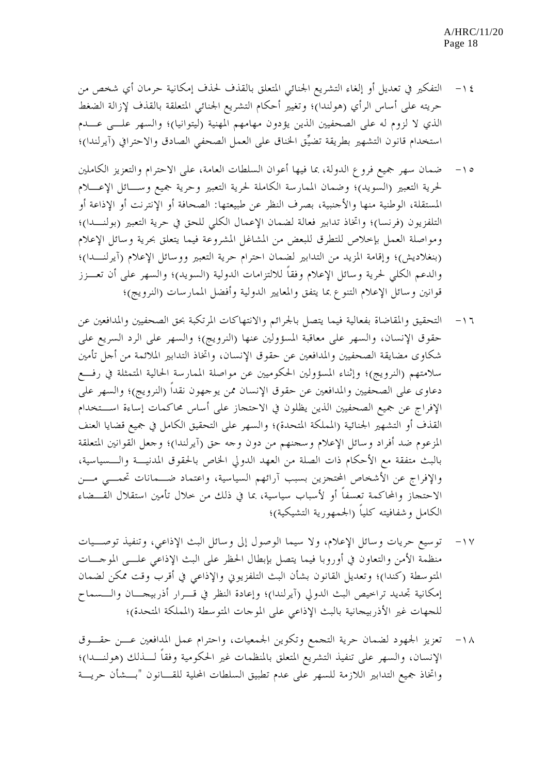- -١٤ التفكير في تعديل أو إلغاء التشريع الجنائي المتعلق بالقذف لحذف إمكانية حرمان أي شخص من حريته على أساس الرأي (هولندا)؛ وتغيير أحكام التشريع الجنائي المتعلقة بالقذف لإزالة الضغط الذي لا لزوم له على الصحفيين الذين يؤدون مهامهم المهنية (ليتوانيا)؛ والسهر علـى عـدم استخدام قانون التشهير بطريقة تضيِّق الخناق على العمل الصحفي الصادق والاحترافي (آيرلندا)؛
- -١٥ ضمان سهر جميع فروع الدولة، بما فيها أعوان السلطات العامة، على الاحترام والتعزيز الكاملين لحرية التعبير (السويد)؛ وضمان الممارسة الكاملة لحرية التعبير وحرية جميع وسـائل الإعـلام المستقلة، الوطنية منها والأجنبية، بصرف النظر عن طبيعتها: الصحافة أو الإنترنت أو الإذاعة أو التلفزيون (فرنسا)؛ واتخاذ تدابير فعالة لضمان الإعمال الكلي للحق في حرية التعبير (بولنـدا)؛ ومواصلة العمل بإخلاص للتطرق للبعض من المشاغل المشروعة فيما يتعلق بحرية وسائل الإعلام (بنغلاديش)؛ وإقامة المزيد من التدابير لضمان احترام حرية التعبير ووسائل الإعلام (آيرلنـدا)؛ والدعم الكلي لحرية وسائل الإعلام وفقاً للالتزامات الدولية (السويد)؛ والسهر على أن تعـزز قوانين وسائل الإعلام التنوع بما يتفق والمعايير الدولية وأفضل الممارسات (النرويج)؛
- -١٦ التحقيق والمقاضاة بفعالية فيما يتصل بالجرائم والانتهاكات المرتكبة بحق الصحفيين والمدافعين عن حقوق الإنسان، والسهر على معاقبة المسؤولين عنها (النرويج)؛ والسهر على الرد السريع على شكاوى مضايقة الصحفيين والمدافعين عن حقوق الإنسان، واتخاذ التدابير الملائمة من أجل تأمين سلامتهم (النرويج)؛ وإثناء المسؤولين الحكوميين عن مواصلة الممارسة الحالية المتمثلة في رفـع دعاوى على الصحفيين والمدافعين عن حقوق الإنسان ممن يوجهون نقداً (النرويج)؛ والسهر على الإفراج عن جميع الصحفيين الذين يظلون في الاحتجاز على أساس محاكمات إساءة اسـتخدام القذف أو التشهير الجنائية (المملكة المتحدة)؛ والسهر على التحقيق الكامل في جميع قضايا العنف المزعوم ضد أفراد وسائل الإعلام وسجنهم من دون وجه حق (آيرلندا)؛ وجعل القوانين المتعلقة بالبث متفقة مع الأحكام ذات الصلة من العهد الدولي الخاص بالحقوق المدنيـة والـسياسية، والإفراج عن الأشخاص المحتجزين بسبب آرائهم السياسية، واعتماد ضـمانات تحمـي مـن الاحتجاز والمحاكمة تعسفاً أو لأسباب سياسية، بما في ذلك من خلال تأمين استقلال القـضاء الكامل وشفافيته كلياً (الجمهورية التشيكية)؛
- -١٧ توسيع حريات وسائل الإعلام، ولا سيما الوصول إلى وسائل البث الإذاعي، وتنفيذ توصـيات منظمة الأمن والتعاون في أوروبا فيما يتصل بإبطال الحظر على البث الإذاعي علـى الموجـات المتوسطة (كندا)؛ وتعديل القانون بشأن البث التلفزيوني والإذاعي في أقرب وقت ممكن لضمان إمكانية تجديد تراخيص البث الدولي (آيرلندا)؛ وإعادة النظر في قـرار أذربيجـان والـسماح للجهات غير الأذربيجانية بالبث الإذاعي على الموجات المتوسطة (المملكة المتحدة)؛
- -١٨ تعزيز الجهود لضمان حرية التجمع وتكوين الجمعيات، واحترام عمل المدافعين عـن حقـوق الإنسان، والسهر على تنفيذ التشريع المتعلق بالمنظمات غير الحكومية وفقاً لـذلك (هولنـدا)؛ واتخاذ جميع التدابير اللازمة للسهر على عدم تطبيق السلطات المحلية للقـــانون "بـــشأن حريـــة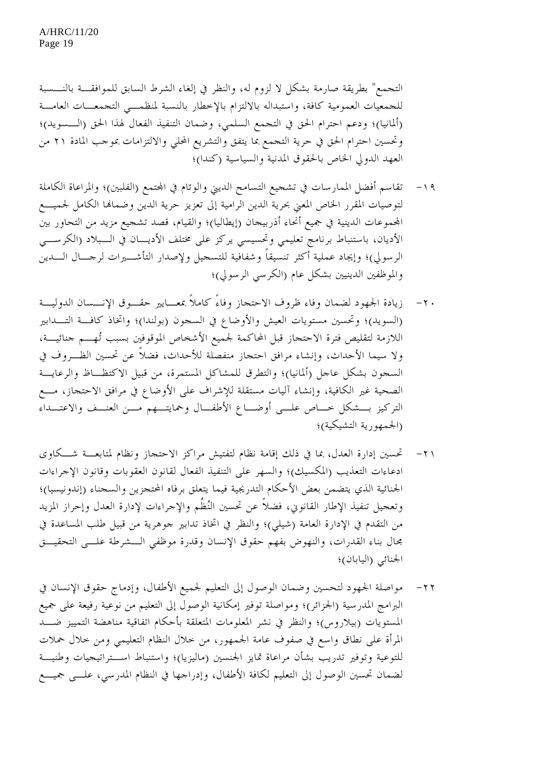التجمع" بطريقة صارمة بشكل لا لزوم له، والنظر في إلغاء الشرط السابق للموافقـة بالنـسبة للجمعيات العمومية كافة، واستبداله بالالتزام بالإخطار بالنسبة لمنظمـي التجمعـات العامـة (ألمانيا)؛ ودعم احترام الحق في التجمع السلمي، وضمان التنفيذ الفعال لهذا الحق (الـسويد)؛ وتحسين احترام الحق في حرية التجمع بما يتفق والتشريع المحلي والالتزامات بموجب المادة ٢١ من العهد الدولي الخاص بالحقوق المدنية والسياسية (كندا)؛

- -١٩ تقاسم أفضل الممارسات في تشجيع التسامح الديني والوئام في اجملتمع (الفلبين)؛ والمراعاة الكاملة لتوصيات المقرر الخاص المعني بحرية الدين الرامية إلى تعزيز حرية الدين وضماهنا الكامل لجميـع اجملموعات الدينية في جميع أنحاء أذربيجان (إيطاليا)؛ والقيام، قصد تشجيع مزيد من التحاور بين الأديان، باستنباط برنامج تعليمي وتحسيسي يركز على مختلف الأديـان في الـبلاد (الكرسـي الرسولي)؛ وإيجاد عملية أكثر تنسيقاً وشفافية للتسجيل ولإصدار التأشـيرات لرجـال الـدين والموظفين الدينيين بشكل عام (الكرسي الرسولي)؛
- -٢٠ زيادة الجهود لضمان وفاء ظروف الاحتجاز وفاءً كاملاً بمعـايير حقـوق الإنـسان الدوليـة (السويد)؛ وتحسين مستويات العيش والأوضاع في السجون (بولندا)؛ واتخاذ كافـة التـدابير اللازمة لتقليص فترة الاحتجاز قبل المحاكمة لجميع الأشخاص الموقوفين بسبب تُهـم جنائيـة، ولا سيما الأحداث، وإنشاء مرافق احتجاز منفصلة للأحداث، فضلاً عن تحسين الظـروف في السجون بشكل عاجل (ألمانيا)؛ والتطرق للمشاكل المستمرة، من قبيل الاكتظـاظ والرعايـة الصحية غير الكافية، وإنشاء آليات مستقلة للإشراف على الأوضاع في مرافق الاحتجاز، مـع التركيز بـشكل خـاص علـى أوضـاع الأطفـال وحمايتـهم مـن العنـف والاعتـداء (الجمهورية التشيكية)؛
- -٢١ تحسين إدارة العدل، بما في ذلك إقامة نظام لتفتيش مراكز الاحتجاز ونظام لمتابعـة شـكاوى ادعاءات التعذيب (المكسيك)؛ والسهر على التنفيذ الفعال لقانون العقوبات وقانون الإجراءات الجنائية الذي يتضمن بعض الأحكام التدريجية فيما يتعلق برفاه المحتجزين والسجناء (إندونيسيا)؛ وتعجيل تنفيذ الإطار القانوني، فضلاً عن تحسين النُظُم والإجراءات لإدارة ا لعدل وإحراز المزيد من التقدم في الإدارة العامة (شيلي)؛ والنظر في اتخاذ تدابير جوهرية من قبيل طلب المساعدة في مجال بناء القدرات، والنهوض بفهم حقوق الإنسان وقدرة موظفي الـشرطة علـى التحقيـق الجنائي (اليابان)؛
- -٢٢ مواصلة الجهود لتحسين وضمان الوصول إلى التعليم لجميع الأطفال، وإدماج حقوق الإنسان في البرامج المدرسية (الجزائر)؛ ومواصلة توفير إمكانية الوصول إلى التعليم من نوعية رفيعة على جميع المستويات (بيلاروس)؛ والنظر في نشر المعلومات المتعلقة بأحكام اتفاقية مناهضة التمييز ضـد المرأة على نطاق واسع في صفوف عامة الجمهور، من خلال النظام التعليمي ومن خلال حملات للتوعية وتوفير تدريب بشأن مراعاة تمايز الجنسين (ماليزيا)؛ واستنباط اسـتراتيجيات وطنيـة لضمان تحسين الوصول إلى التعليم لكافة الأطفال، وإدراجها في النظام المدرسي، علـى جميـع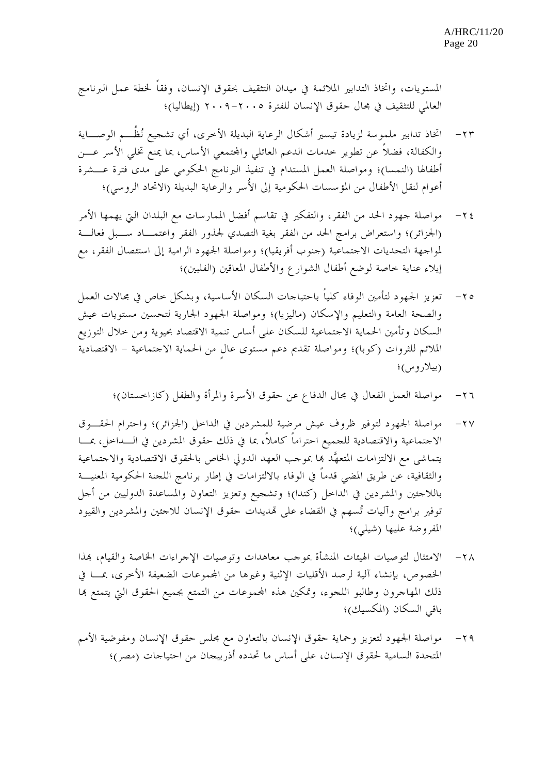المستويات، واتخاذ التدابير الملائمة في ميدان التثقيف بحقوق الإنسان، وفقاً لخطة عمل البرنامج العالمي للتثقيف في مجال حقوق الإنسان للفترة -٢٠٠٥ ٢٠٠٩ (إيطاليا)؛

- -٢٣ اتخاذ تدابير ملموسة لزيادة تيسير أشكال الرعاية البديلة الأخرى، أي تشجيع نُظُـم الوصـاية والكفالة، فضلاً عن تطوير حدمات الدعم العائلي والمحتمعي الأساس، بما يمنع تخلي الأسر عـــن أطفالها (النمسا)؛ ومواصلة العمل المستدام في تنفيذ البرنامج الحكومي على مدى فترة عـشرة أعوام لنقل الأطفال من المؤسسات الحكومية إلى الأُسر والرعاية البديلة (الاتحاد الروسي)؛
- -٢٤ مواصلة جهود الحد من الفقر، والتفكير في تقاسم أفضل الممارسات مع البلدان التي يهمها الأمر (الجزائر)؛ واستعراض برامج الحد من الفقر بغية التصدي لجذور الفقر واعتمـاد سـبل فعالـة لمواجهة التحديات الاجتماعية (جنوب أفريقيا)؛ ومواصلة الجهود الرامية إلى استئصال الفقر، مع إيلاء عناية خاصة لوضع أطفال الشوارع والأطفال المعاقين (الفلبين)؛
- -٢٥ تعزيز الجهود لتأمين الوفاء كلياً باحتياجات السكان الأساسية، وبشكل خاص في مجالات العمل والصحة العامة والتعليم والإسكان (ماليزيا)؛ ومواصلة الجهود الجارية لتحسين مستويات عيش السكان وتأمين الحماية الاجتماعية للسكان على أساس تنمية الاقتصاد بحيوية ومن خلال التوزيع الملائم للثروات (كوبا)؛ ومواصلة تقديم دعم مستوى عالٍ من الحماية الاجتماعية - الاقتصادية (بيلاروس)؛
	- -٢٦ مواصلة العمل الفعال في مجال الدفاع عن حقوق الأسرة والمرأة والطفل (كازاخستان)؛
- -٢٧ مواصلة الجهود لتوفير ظروف عيش مرضية للمشردين في الداخل (الجزائر)؛ واحترام الحقـوق الاجتماعية والاقتصادية للجميع احتراماً كاملاً، بما في ذلك حقوق المشردين في الـداخل، بمـا يتماشى مع الالتزامات المتعهَّد هبا بموجب العهد الدولي الخاص بالحقوق الاقتصادية والاجتماعية والثقافية، عن طريق المضي قدماً في الوفاء بالالتزامات في إطار برنامج اللجنة الحكومية المعنيـة باللاجئين والمشردين في الداخل (كندا)؛ وتشجيع وتعزيز التعاون والمساعدة الدوليين من أجل توفير برامج وآليات تُسهم في القضاء على هتديدات حقوق الإنسان للاجئين والمشردين والقيود المفروضة عليها (شيلي)؛
- -٢٨ الامتثال لتوصيات الهيئات المنشأة بموجب معاهدات وتوصيات الإجراءات الخاصة والقيام، هبذا الخصوص، بإنشاء آلية لرصد الأقليات الإثنية وغيرها من اجملموعات الضعيفة الأخرى، بمـا في ذلك المهاجرون وطالبو اللجوء، وتمكين هذه اجملموعات من التمتع بجميع الحقوق التي يتمتع هبا باقي السكان (المكسيك)؛
- -٢٩ مواصلة الجهود لتعزيز وحماية حقوق الإنسان بالتعاون مع مجلس حقوق الإنسان ومفوضية الأمم المتحدة السامية لحقوق الإنسان، على أساس ما تحدده أذربيجان من احتياجات (مصر)؛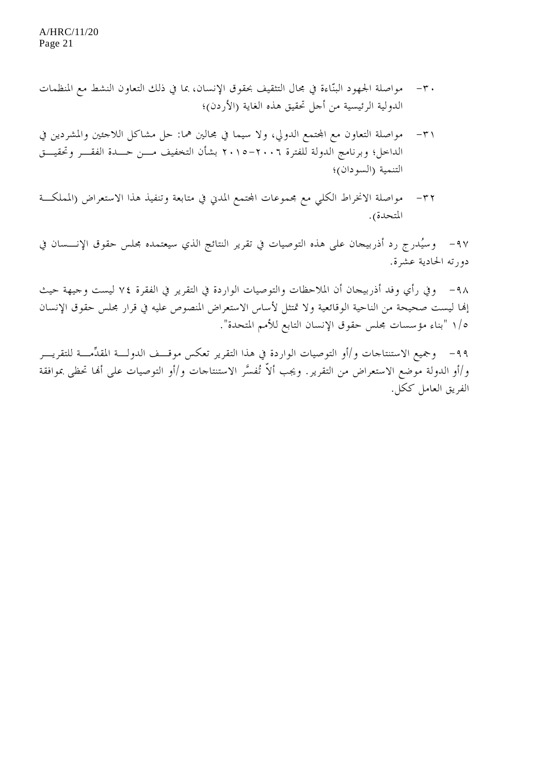- -٣٠ مواصلة الجهود البنّاءة في مجال التثقيف بحقوق الإنسان، بما في ذلك التعاون النشط مع المنظمات الدولية الرئيسية من أجل تحقيق هذه الغاية (الأردن)؛
- ٣١ مواصلة التعاون مع المحتمع الدولي، ولا سيما في مجالين هما: حل مشاكل اللاجئين والمشردين في الداخل؛ وبرنامج الدولة للفترة -٢٠٠٦ ٢٠١٥ بشأن التخفيف مـن حـدة الفقـر وتحقيـق التنمية (السودان)؛
- -٣٢ مواصلة الانخراط الكلي مع مجموعات اجملتمع المدني في متابعة وتنفيذ هذا الاستعراض (المملكـة المتحدة).

-٩٧ وسيُدرج رد أذربيجان على هذه التوصيات في تقرير النتائج الذي سيعتمده مجلس حقوق الإنـسان في دورته الحادية عشرة.

-٩٨ وفي رأي وفد أذربيجان أن الملاحظات والتوصيات الواردة في التقرير في الفقرة ٧٤ ليست وجيهة حيث إهنا ليست صحيحة من الناحية الوقائعية ولا تمتثل لأساس الاستعراض المنصوص عليه في قرار مجلس حقوق الإنسان ١/٥ "بناء مؤسسات مجلس حقوق الإنسان التابع للأمم المتحدة".

-٩٩ وجميع الاستنتاجات و/أو التوصيات الواردة في هذا التقرير تعكس موقـف الدولـة المقدِّمـة للتقريـر و/أو الدولة موضع الاستعراض من التقرير. ويجب ألاّ تُفسَّر الاستنتاجات و/أو التوصيات على أهنا تحظى بموافقة الفريق العامل ككل.